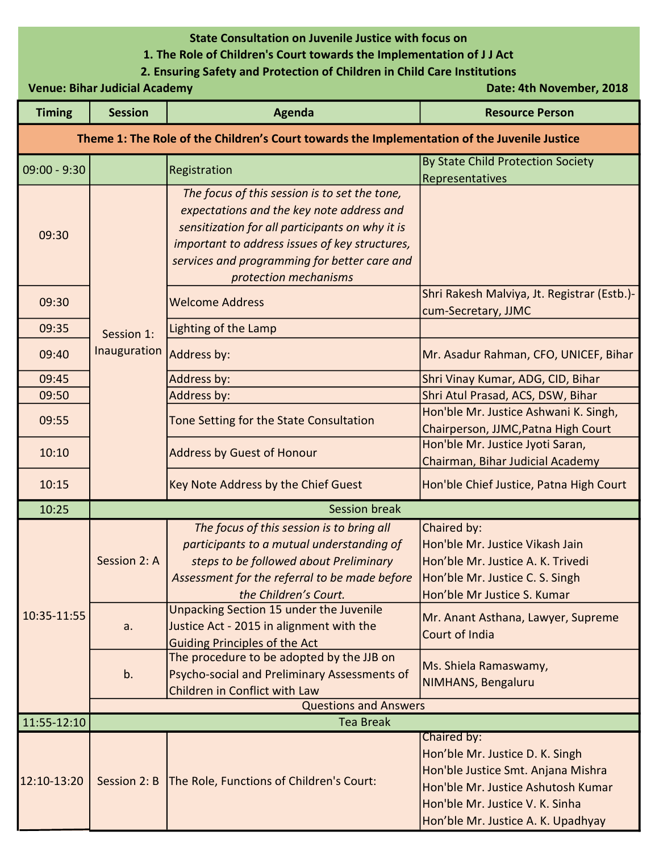## State Consultation on Juvenile Justice with focus on

## 1. The Role of Children's Court towards the Implementation of J J Act

## 2. Ensuring Safety and Protection of Children in Child Care Institutions

Venue: Bihar Judicial Academy **Date: 4th November, 2018** 

| <b>Timing</b>                                                                                | <b>Session</b>               | Agenda                                                                                                                                                                                                                                                                   | <b>Resource Person</b>                                                                                                                                                                              |  |
|----------------------------------------------------------------------------------------------|------------------------------|--------------------------------------------------------------------------------------------------------------------------------------------------------------------------------------------------------------------------------------------------------------------------|-----------------------------------------------------------------------------------------------------------------------------------------------------------------------------------------------------|--|
| Theme 1: The Role of the Children's Court towards the Implementation of the Juvenile Justice |                              |                                                                                                                                                                                                                                                                          |                                                                                                                                                                                                     |  |
| $09:00 - 9:30$                                                                               |                              | Registration                                                                                                                                                                                                                                                             | By State Child Protection Society<br>Representatives                                                                                                                                                |  |
| 09:30                                                                                        | Session 1:<br>Inauguration   | The focus of this session is to set the tone,<br>expectations and the key note address and<br>sensitization for all participants on why it is<br>important to address issues of key structures,<br>services and programming for better care and<br>protection mechanisms |                                                                                                                                                                                                     |  |
| 09:30                                                                                        |                              | <b>Welcome Address</b>                                                                                                                                                                                                                                                   | Shri Rakesh Malviya, Jt. Registrar (Estb.)-<br>cum-Secretary, JJMC                                                                                                                                  |  |
| 09:35                                                                                        |                              | Lighting of the Lamp                                                                                                                                                                                                                                                     |                                                                                                                                                                                                     |  |
| 09:40                                                                                        |                              | Address by:                                                                                                                                                                                                                                                              | Mr. Asadur Rahman, CFO, UNICEF, Bihar                                                                                                                                                               |  |
| 09:45                                                                                        |                              | Address by:                                                                                                                                                                                                                                                              | Shri Vinay Kumar, ADG, CID, Bihar                                                                                                                                                                   |  |
| 09:50                                                                                        |                              | Address by:                                                                                                                                                                                                                                                              | Shri Atul Prasad, ACS, DSW, Bihar                                                                                                                                                                   |  |
| 09:55                                                                                        |                              | Tone Setting for the State Consultation                                                                                                                                                                                                                                  | Hon'ble Mr. Justice Ashwani K. Singh,<br>Chairperson, JJMC, Patna High Court                                                                                                                        |  |
| 10:10                                                                                        |                              | <b>Address by Guest of Honour</b>                                                                                                                                                                                                                                        | Hon'ble Mr. Justice Jyoti Saran,<br>Chairman, Bihar Judicial Academy                                                                                                                                |  |
| 10:15                                                                                        |                              | Key Note Address by the Chief Guest                                                                                                                                                                                                                                      | Hon'ble Chief Justice, Patna High Court                                                                                                                                                             |  |
| 10:25                                                                                        |                              | <b>Session break</b>                                                                                                                                                                                                                                                     |                                                                                                                                                                                                     |  |
| 10:35-11:55                                                                                  | Session 2: A                 | The focus of this session is to bring all<br>participants to a mutual understanding of<br>steps to be followed about Preliminary<br>Assessment for the referral to be made before<br>the Children's Court.                                                               | Chaired by:<br>Hon'ble Mr. Justice Vikash Jain<br>Hon'ble Mr. Justice A. K. Trivedi<br>Hon'ble Mr. Justice C. S. Singh<br>Hon'ble Mr Justice S. Kumar                                               |  |
|                                                                                              | a.                           | <b>Unpacking Section 15 under the Juvenile</b><br>Justice Act - 2015 in alignment with the<br><b>Guiding Principles of the Act</b>                                                                                                                                       | Mr. Anant Asthana, Lawyer, Supreme<br>Court of India                                                                                                                                                |  |
|                                                                                              | b.                           | The procedure to be adopted by the JJB on<br>Psycho-social and Preliminary Assessments of<br>Children in Conflict with Law                                                                                                                                               | Ms. Shiela Ramaswamy,<br>NIMHANS, Bengaluru                                                                                                                                                         |  |
|                                                                                              | <b>Questions and Answers</b> |                                                                                                                                                                                                                                                                          |                                                                                                                                                                                                     |  |
| 11:55-12:10                                                                                  |                              | <b>Tea Break</b>                                                                                                                                                                                                                                                         |                                                                                                                                                                                                     |  |
| 12:10-13:20                                                                                  | Session 2: B                 | The Role, Functions of Children's Court:                                                                                                                                                                                                                                 | Chaired by:<br>Hon'ble Mr. Justice D. K. Singh<br>Hon'ble Justice Smt. Anjana Mishra<br>Hon'ble Mr. Justice Ashutosh Kumar<br>Hon'ble Mr. Justice V. K. Sinha<br>Hon'ble Mr. Justice A. K. Upadhyay |  |